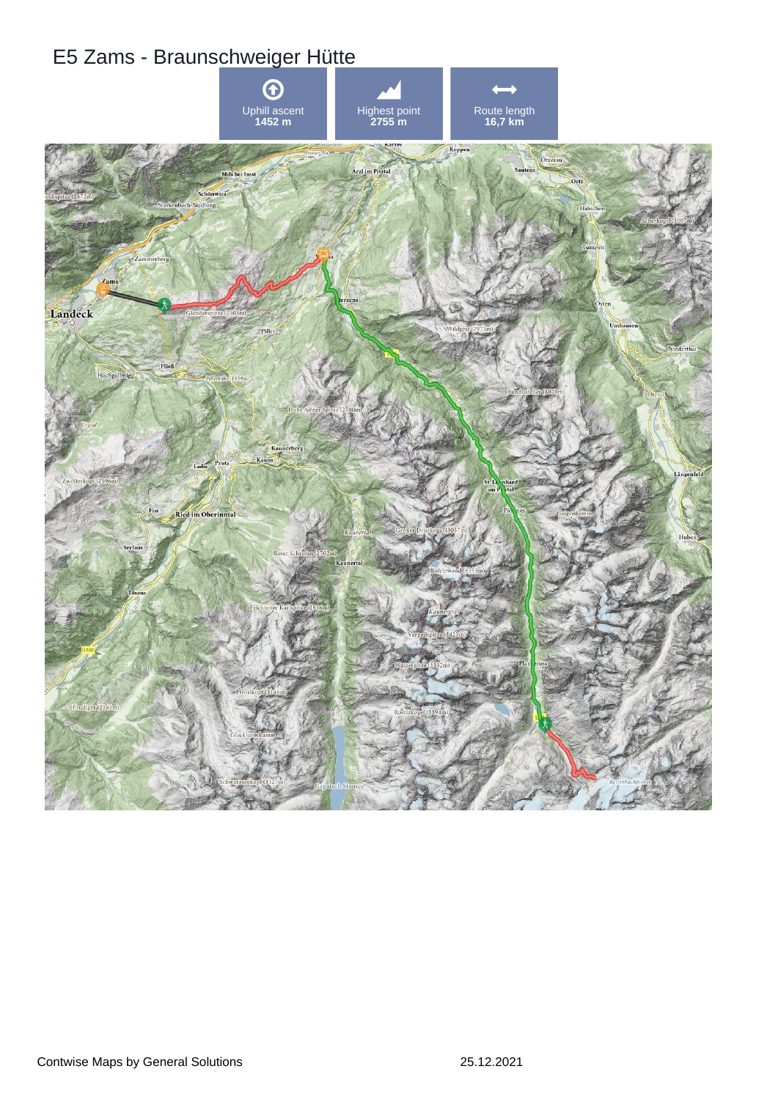## E5 Zams - Braunschweiger Hütte